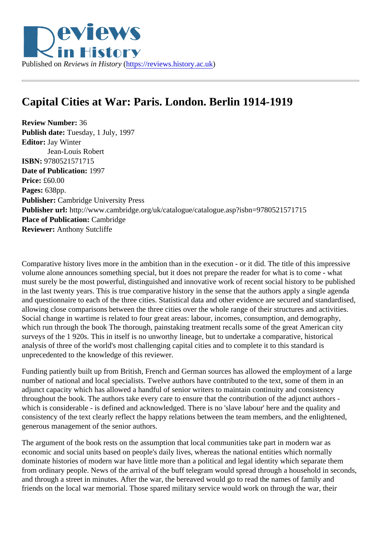## Capital Cities at War: Paris. London. Berlin 1914-1919

Review Number: 36 Publish date: Tuesday, 1 July, 1997 Editor: Jay Winter Jean-Louis Robert ISBN: 9780521571715 Date of Publication: 1997 Price: £60.00 Pages: 638pp. Publisher: Cambridge University Press Publisher url: http://www.cambridge.org/uk/catalogue/catalogue.asp?isbn=9780521571715 Place of Publication: Cambridge Reviewer: Anthony Sutcliffe

Comparative history lives more in the ambition than in the execution - or it did. The title of this impressive volume alone announces something special, but it does not prepare the reader for what is to come - what must surely be the most powerful, distinguished and innovative work of recent social history to be published in the last twenty years. This is true comparative history in the sense that the authors apply a single agend and questionnaire to each of the three cities. Statistical data and other evidence are secured and standard allowing close comparisons between the three cities over the whole range of their structures and activities Social change in wartime is related to four great areas: labour, incomes, consumption, and demography, which run through the book The thorough, painstaking treatment recalls some of the great American city surveys of the 1 920s. This in itself is no unworthy lineage, but to undertake a comparative, historical analysis of three of the world's most challenging capital cities and to complete it to this standard is unprecedented to the knowledge of this reviewer.

Funding patiently built up from British, French and German sources has allowed the employment of a large number of national and local specialists. Twelve authors have contributed to the text, some of them in an adjunct capacity which has allowed a handful of senior writers to maintain continuity and consistency throughout the book. The authors take every care to ensure that the contribution of the adjunct authors which is considerable - is defined and acknowledged. There is no 'slave labour' here and the quality and consistency of the text clearly reflect the happy relations between the team members, and the enlightened, generous management of the senior authors.

The argument of the book rests on the assumption that local communities take part in modern war as economic and social units based on people's daily lives, whereas the national entities which normally dominate histories of modern war have little more than a political and legal identity which separate them from ordinary people. News of the arrival of the buff telegram would spread through a household in second and through a street in minutes. After the war, the bereaved would go to read the names of family and friends on the local war memorial. Those spared military service would work on through the war, their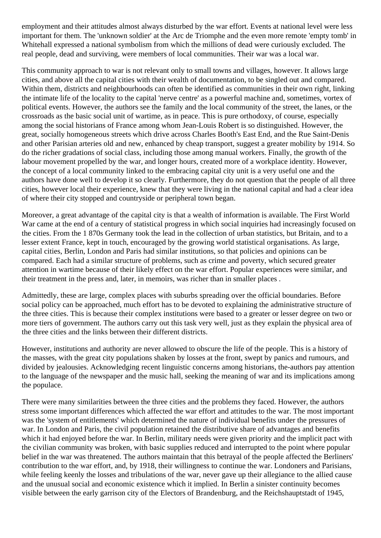employment and their attitudes almost always disturbed by the war effort. Events at national level were less important for them. The 'unknown soldier' at the Arc de Triomphe and the even more remote 'empty tomb' in Whitehall expressed a national symbolism from which the millions of dead were curiously excluded. The real people, dead and surviving, were members of local communities. Their war was a local war.

This community approach to war is not relevant only to small towns and villages, however. It allows large cities, and above all the capital cities with their wealth of documentation, to be singled out and compared. Within them, districts and neighbourhoods can often be identified as communities in their own right, linking the intimate life of the locality to the capital 'nerve centre' as a powerful machine and, sometimes, vortex of political events. However, the authors see the family and the local community of the street, the lanes, or the crossroads as the basic social unit of wartime, as in peace. This is pure orthodoxy, of course, especially among the social historians of France among whom Jean-Louis Robert is so distinguished. However, the great, socially homogeneous streets which drive across Charles Booth's East End, and the Rue Saint-Denis and other Parisian arteries old and new, enhanced by cheap transport, suggest a greater mobility by 1914. So do the richer gradations of social class, including those among manual workers. Finally, the growth of the labour movement propelled by the war, and longer hours, created more of a workplace identity. However, the concept of a local community linked to the embracing capital city unit is a very useful one and the authors have done well to develop it so clearly. Furthermore, they do not question that the people of all three cities, however local their experience, knew that they were living in the national capital and had a clear idea of where their city stopped and countryside or peripheral town began.

Moreover, a great advantage of the capital city is that a wealth of information is available. The First World War came at the end of a century of statistical progress in which social inquiries had increasingly focused on the cities. From the 1 870s Germany took the lead in the collection of urban statistics, but Britain, and to a lesser extent France, kept in touch, encouraged by the growing world statistical organisations. As large, capital cities, Berlin, London and Paris had similar institutions, so that policies and opinions can be compared. Each had a similar structure of problems, such as crime and poverty, which secured greater attention in wartime because of their likely effect on the war effort. Popular experiences were similar, and their treatment in the press and, later, in memoirs, was richer than in smaller places .

Admittedly, these are large, complex places with suburbs spreading over the official boundaries. Before social policy can be approached, much effort has to be devoted to explaining the administrative structure of the three cities. This is because their complex institutions were based to a greater or lesser degree on two or more tiers of government. The authors carry out this task very well, just as they explain the physical area of the three cities and the links between their different districts.

However, institutions and authority are never allowed to obscure the life of the people. This is a history of the masses, with the great city populations shaken by losses at the front, swept by panics and rumours, and divided by jealousies. Acknowledging recent linguistic concerns among historians, the-authors pay attention to the language of the newspaper and the music hall, seeking the meaning of war and its implications among the populace.

There were many similarities between the three cities and the problems they faced. However, the authors stress some important differences which affected the war effort and attitudes to the war. The most important was the 'system of entitlements' which determined the nature of individual benefits under the pressures of war. In London and Paris, the civil population retained the distributive share of advantages and benefits which it had enjoyed before the war. In Berlin, military needs were given priority and the implicit pact with the civilian community was broken, with basic supplies reduced and interrupted to the point where popular belief in the war was threatened. The authors maintain that this betrayal of the people affected the Berliners' contribution to the war effort, and, by 1918, their willingness to continue the war. Londoners and Parisians, while feeling keenly the losses and tribulations of the war, never gave up their allegiance to the allied cause and the unusual social and economic existence which it implied. In Berlin a sinister continuity becomes visible between the early garrison city of the Electors of Brandenburg, and the Reichshauptstadt of 1945,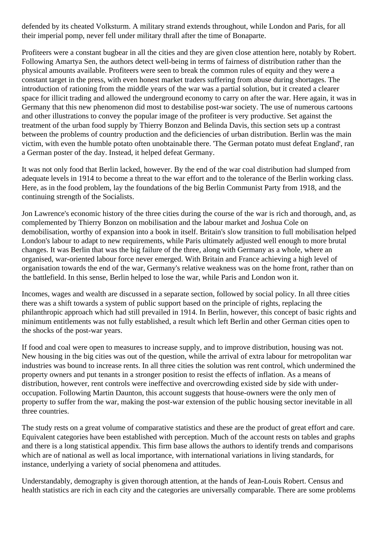defended by its cheated Volksturm. A military strand extends throughout, while London and Paris, for all their imperial pomp, never fell under military thrall after the time of Bonaparte.

Profiteers were a constant bugbear in all the cities and they are given close attention here, notably by Robert. Following Amartya Sen, the authors detect well-being in terms of fairness of distribution rather than the physical amounts available. Profiteers were seen to break the common rules of equity and they were a constant target in the press, with even honest market traders suffering from abuse during shortages. The introduction of rationing from the middle years of the war was a partial solution, but it created a clearer space for illicit trading and allowed the underground economy to carry on after the war. Here again, it was in Germany that this new phenomenon did most to destabilise post-war society. The use of numerous cartoons and other illustrations to convey the popular image of the profiteer is very productive. Set against the treatment of the urban food supply by Thierry Bonzon and Belinda Davis, this section sets up a contrast between the problems of country production and the deficiencies of urban distribution. Berlin was the main victim, with even the humble potato often unobtainable there. 'The German potato must defeat England', ran a German poster of the day. Instead, it helped defeat Germany.

It was not only food that Berlin lacked, however. By the end of the war coal distribution had slumped from adequate levels in 1914 to become a threat to the war effort and to the tolerance of the Berlin working class. Here, as in the food problem, lay the foundations of the big Berlin Communist Party from 1918, and the continuing strength of the Socialists.

Jon Lawrence's economic history of the three cities during the course of the war is rich and thorough, and, as complemented by Thierry Bonzon on mobilisation and the labour market and Joshua Cole on demobilisation, worthy of expansion into a book in itself. Britain's slow transition to full mobilisation helped London's labour to adapt to new requirements, while Paris ultimately adjusted well enough to more brutal changes. It was Berlin that was the big failure of the three, along with Germany as a whole, where an organised, war-oriented labour force never emerged. With Britain and France achieving a high level of organisation towards the end of the war, Germany's relative weakness was on the home front, rather than on the battlefield. In this sense, Berlin helped to lose the war, while Paris and London won it.

Incomes, wages and wealth are discussed in a separate section, followed by social policy. In all three cities there was a shift towards a system of public support based on the principle of rights, replacing the philanthropic approach which had still prevailed in 1914. In Berlin, however, this concept of basic rights and minimum entitlements was not fully established, a result which left Berlin and other German cities open to the shocks of the post-war years.

If food and coal were open to measures to increase supply, and to improve distribution, housing was not. New housing in the big cities was out of the question, while the arrival of extra labour for metropolitan war industries was bound to increase rents. In all three cities the solution was rent control, which undermined the property owners and put tenants in a stronger position to resist the effects of inflation. As a means of distribution, however, rent controls were ineffective and overcrowding existed side by side with underoccupation. Following Martin Daunton, this account suggests that house-owners were the only men of property to suffer from the war, making the post-war extension of the public housing sector inevitable in all three countries.

The study rests on a great volume of comparative statistics and these are the product of great effort and care. Equivalent categories have been established with perception. Much of the account rests on tables and graphs and there is a long statistical appendix. This firm base allows the authors to identify trends and comparisons which are of national as well as local importance, with international variations in living standards, for instance, underlying a variety of social phenomena and attitudes.

Understandably, demography is given thorough attention, at the hands of Jean-Louis Robert. Census and health statistics are rich in each city and the categories are universally comparable. There are some problems